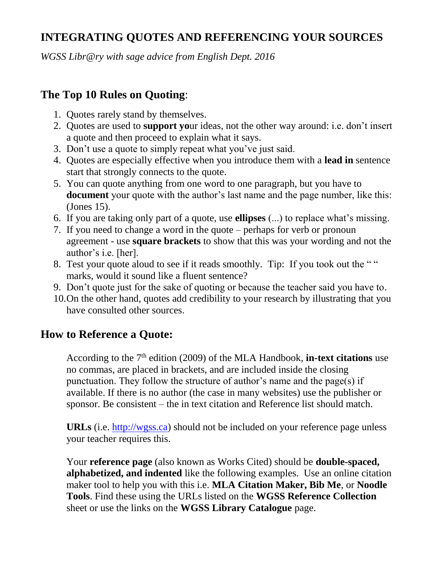## **INTEGRATING QUOTES AND REFERENCING YOUR SOURCES**

*WGSS Libr@ry with sage advice from English Dept. 2016*

## **The Top 10 Rules on Quoting**:

- 1. Quotes rarely stand by themselves.
- 2. Quotes are used to **support yo**ur ideas, not the other way around: i.e. don't insert a quote and then proceed to explain what it says.
- 3. Don't use a quote to simply repeat what you've just said.
- 4. Quotes are especially effective when you introduce them with a **lead in** sentence start that strongly connects to the quote.
- 5. You can quote anything from one word to one paragraph, but you have to **document** your quote with the author's last name and the page number, like this: (Jones 15).
- 6. If you are taking only part of a quote, use **ellipses** (...) to replace what's missing.
- 7. If you need to change a word in the quote perhaps for verb or pronoun agreement - use **square brackets** to show that this was your wording and not the author's i.e. [her].
- 8. Test your quote aloud to see if it reads smoothly. Tip: If you took out the " " marks, would it sound like a fluent sentence?
- 9. Don't quote just for the sake of quoting or because the teacher said you have to.
- 10.On the other hand, quotes add credibility to your research by illustrating that you have consulted other sources.

## **How to Reference a Quote:**

According to the 7<sup>th</sup> edition (2009) of the MLA Handbook, **in-text citations** use no commas, are placed in brackets, and are included inside the closing punctuation. They follow the structure of author's name and the page(s) if available. If there is no author (the case in many websites) use the publisher or sponsor. Be consistent – the in text citation and Reference list should match.

**URLs** (i.e. [http://wgss.ca\)](http://wgss.ca/) should not be included on your reference page unless your teacher requires this.

Your **reference page** (also known as Works Cited) should be **double-spaced, alphabetized, and indented** like the following examples. Use an online citation maker tool to help you with this i.e. **MLA Citation Maker, Bib Me**, or **Noodle Tools**. Find these using the URLs listed on the **WGSS Reference Collection** sheet or use the links on the **WGSS Library Catalogue** page.